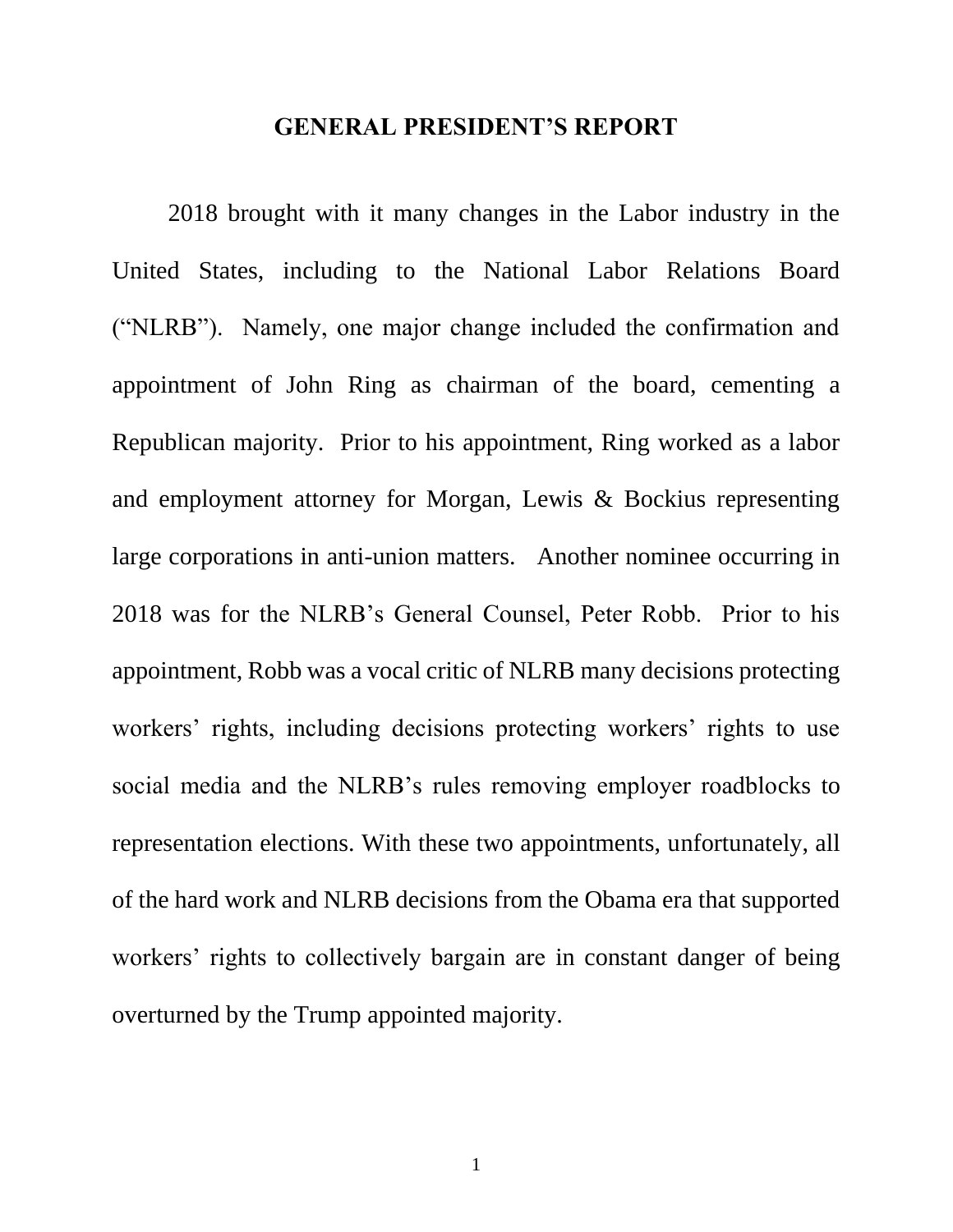## **GENERAL PRESIDENT'S REPORT**

2018 brought with it many changes in the Labor industry in the United States, including to the National Labor Relations Board ("NLRB"). Namely, one major change included the confirmation and appointment of John Ring as chairman of the board, cementing a Republican majority. Prior to his appointment, Ring worked as a labor and employment attorney for Morgan, Lewis & Bockius representing large corporations in anti-union matters. Another nominee occurring in 2018 was for the NLRB's General Counsel, Peter Robb. Prior to his appointment, Robb was a vocal critic of NLRB many decisions protecting workers' rights, including decisions protecting workers' rights to use social media and the NLRB's rules removing employer roadblocks to representation elections. With these two appointments, unfortunately, all of the hard work and NLRB decisions from the Obama era that supported workers' rights to collectively bargain are in constant danger of being overturned by the Trump appointed majority.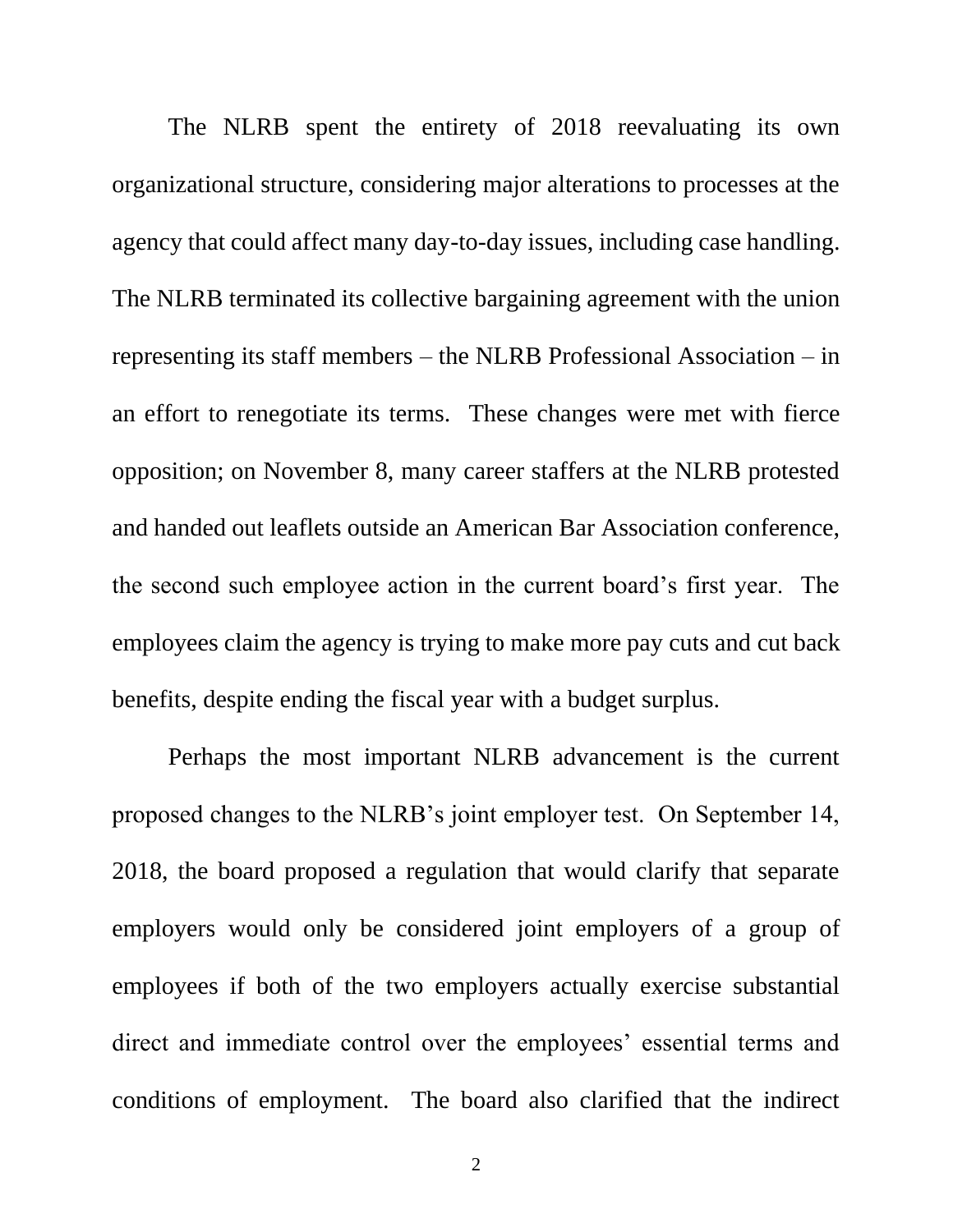The NLRB spent the entirety of 2018 reevaluating its own organizational structure, considering major alterations to processes at the agency that could affect many day-to-day issues, including case handling. The NLRB terminated its collective bargaining agreement with the union representing its staff members – the NLRB Professional Association – in an effort to renegotiate its terms. These changes were met with fierce opposition; on November 8, many career staffers at the NLRB protested and handed out leaflets outside an American Bar Association conference, the second such employee action in the current board's first year. The employees claim the agency is trying to make more pay cuts and cut back benefits, despite ending the fiscal year with a budget surplus.

Perhaps the most important NLRB advancement is the current proposed changes to the NLRB's joint employer test. On September 14, 2018, the board proposed a regulation that would clarify that separate employers would only be considered joint employers of a group of employees if both of the two employers actually exercise substantial direct and immediate control over the employees' essential terms and conditions of employment. The board also clarified that the indirect